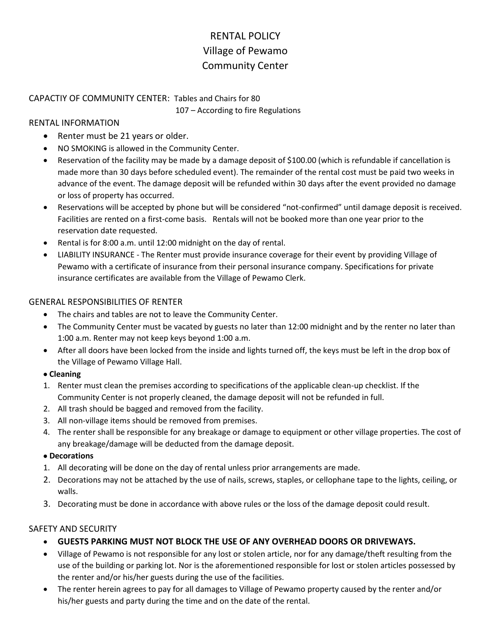# RENTAL POLICY Village of Pewamo Community Center

#### CAPACTIY OF COMMUNITY CENTER: Tables and Chairs for 80

107 – According to fire Regulations

#### RENTAL INFORMATION

- Renter must be 21 years or older.
- NO SMOKING is allowed in the Community Center.
- Reservation of the facility may be made by a damage deposit of \$100.00 (which is refundable if cancellation is made more than 30 days before scheduled event). The remainder of the rental cost must be paid two weeks in advance of the event. The damage deposit will be refunded within 30 days after the event provided no damage or loss of property has occurred.
- Reservations will be accepted by phone but will be considered "not-confirmed" until damage deposit is received. Facilities are rented on a first-come basis. Rentals will not be booked more than one year prior to the reservation date requested.
- Rental is for 8:00 a.m. until 12:00 midnight on the day of rental.
- LIABILITY INSURANCE The Renter must provide insurance coverage for their event by providing Village of Pewamo with a certificate of insurance from their personal insurance company. Specifications for private insurance certificates are available from the Village of Pewamo Clerk.

# GENERAL RESPONSIBILITIES OF RENTER

- The chairs and tables are not to leave the Community Center.
- The Community Center must be vacated by guests no later than 12:00 midnight and by the renter no later than 1:00 a.m. Renter may not keep keys beyond 1:00 a.m.
- After all doors have been locked from the inside and lights turned off, the keys must be left in the drop box of the Village of Pewamo Village Hall.

## **Cleaning**

- 1. Renter must clean the premises according to specifications of the applicable clean-up checklist. If the Community Center is not properly cleaned, the damage deposit will not be refunded in full.
- 2. All trash should be bagged and removed from the facility.
- 3. All non-village items should be removed from premises.
- 4. The renter shall be responsible for any breakage or damage to equipment or other village properties. The cost of any breakage/damage will be deducted from the damage deposit.

#### **Decorations**

- 1. All decorating will be done on the day of rental unless prior arrangements are made.
- 2. Decorations may not be attached by the use of nails, screws, staples, or cellophane tape to the lights, ceiling, or walls.
- 3. Decorating must be done in accordance with above rules or the loss of the damage deposit could result.

## SAFETY AND SECURITY

- **GUESTS PARKING MUST NOT BLOCK THE USE OF ANY OVERHEAD DOORS OR DRIVEWAYS.**
- Village of Pewamo is not responsible for any lost or stolen article, nor for any damage/theft resulting from the use of the building or parking lot. Nor is the aforementioned responsible for lost or stolen articles possessed by the renter and/or his/her guests during the use of the facilities.
- The renter herein agrees to pay for all damages to Village of Pewamo property caused by the renter and/or his/her guests and party during the time and on the date of the rental.